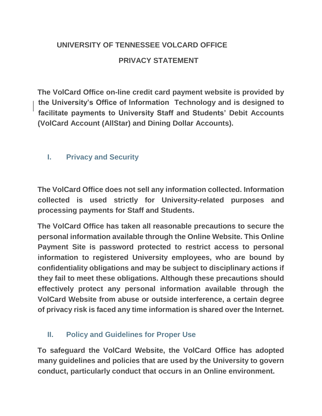## **UNIVERSITY OF TENNESSEE VOLCARD OFFICE PRIVACY STATEMENT**

**The VolCard Office on-line credit card payment website is provided by the University's Office of Information Technology and is designed to facilitate payments to University Staff and Students' Debit Accounts (VolCard Account (AllStar) and Dining Dollar Accounts).** 

## **I. Privacy and Security**

**The VolCard Office does not sell any information collected. Information collected is used strictly for University-related purposes and processing payments for Staff and Students.** 

**The VolCard Office has taken all reasonable precautions to secure the personal information available through the Online Website. This Online Payment Site is password protected to restrict access to personal information to registered University employees, who are bound by confidentiality obligations and may be subject to disciplinary actions if they fail to meet these obligations. Although these precautions should effectively protect any personal information available through the VolCard Website from abuse or outside interference, a certain degree of privacy risk is faced any time information is shared over the Internet.** 

## **II. Policy and Guidelines for Proper Use**

**To safeguard the VolCard Website, the VolCard Office has adopted many guidelines and policies that are used by the University to govern conduct, particularly conduct that occurs in an Online environment.**